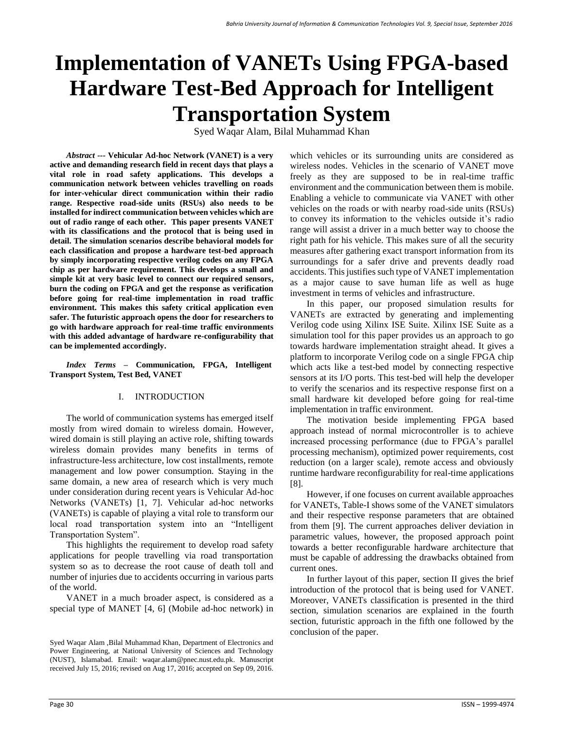# **Implementation of VANETs Using FPGA-based Hardware Test-Bed Approach for Intelligent Transportation System**

Syed Waqar Alam, Bilal Muhammad Khan

*Abstract ---* **Vehicular Ad-hoc Network (VANET) is a very active and demanding research field in recent days that plays a vital role in road safety applications. This develops a communication network between vehicles travelling on roads for inter-vehicular direct communication within their radio range. Respective road-side units (RSUs) also needs to be installed for indirect communication between vehicles which are out of radio range of each other. This paper presents VANET with its classifications and the protocol that is being used in detail. The simulation scenarios describe behavioral models for each classification and propose a hardware test-bed approach by simply incorporating respective verilog codes on any FPGA chip as per hardware requirement. This develops a small and simple kit at very basic level to connect our required sensors, burn the coding on FPGA and get the response as verification before going for real-time implementation in road traffic environment. This makes this safety critical application even safer. The futuristic approach opens the door for researchers to go with hardware approach for real-time traffic environments with this added advantage of hardware re-configurability that can be implemented accordingly.**

*Index Terms –* **Communication, FPGA, Intelligent Transport System, Test Bed, VANET**

#### I. INTRODUCTION

The world of communication systems has emerged itself mostly from wired domain to wireless domain. However, wired domain is still playing an active role, shifting towards wireless domain provides many benefits in terms of infrastructure-less architecture, low cost installments, remote management and low power consumption. Staying in the same domain, a new area of research which is very much under consideration during recent years is Vehicular Ad-hoc Networks (VANETs) [1, 7]. Vehicular ad-hoc networks (VANETs) is capable of playing a vital role to transform our local road transportation system into an "Intelligent Transportation System".

This highlights the requirement to develop road safety applications for people travelling via road transportation system so as to decrease the root cause of death toll and number of injuries due to accidents occurring in various parts of the world.

VANET in a much broader aspect, is considered as a special type of MANET [4, 6] (Mobile ad-hoc network) in which vehicles or its surrounding units are considered as wireless nodes. Vehicles in the scenario of VANET move freely as they are supposed to be in real-time traffic environment and the communication between them is mobile. Enabling a vehicle to communicate via VANET with other vehicles on the roads or with nearby road-side units (RSUs) to convey its information to the vehicles outside it's radio range will assist a driver in a much better way to choose the right path for his vehicle. This makes sure of all the security measures after gathering exact transport information from its surroundings for a safer drive and prevents deadly road accidents. This justifies such type of VANET implementation as a major cause to save human life as well as huge investment in terms of vehicles and infrastructure.

In this paper, our proposed simulation results for VANETs are extracted by generating and implementing Verilog code using Xilinx ISE Suite. Xilinx ISE Suite as a simulation tool for this paper provides us an approach to go towards hardware implementation straight ahead. It gives a platform to incorporate Verilog code on a single FPGA chip which acts like a test-bed model by connecting respective sensors at its I/O ports. This test-bed will help the developer to verify the scenarios and its respective response first on a small hardware kit developed before going for real-time implementation in traffic environment.

The motivation beside implementing FPGA based approach instead of normal microcontroller is to achieve increased processing performance (due to FPGA's parallel processing mechanism), optimized power requirements, cost reduction (on a larger scale), remote access and obviously runtime hardware reconfigurability for real-time applications [8].

However, if one focuses on current available approaches for VANETs, Table-I shows some of the VANET simulators and their respective response parameters that are obtained from them [9]. The current approaches deliver deviation in parametric values, however, the proposed approach point towards a better reconfigurable hardware architecture that must be capable of addressing the drawbacks obtained from current ones.

In further layout of this paper, section II gives the brief introduction of the protocol that is being used for VANET. Moreover, VANETs classification is presented in the third section, simulation scenarios are explained in the fourth section, futuristic approach in the fifth one followed by the conclusion of the paper.

Syed Waqar Alam ,Bilal Muhammad Khan, Department of Electronics and Power Engineering, at National University of Sciences and Technology (NUST), Islamabad. Email: [waqar.alam@pnec.nust.edu.pk.](mailto:waqar.alam@pnec.nust.edu.pk) Manuscript received July 15, 2016; revised on Aug 17, 2016; accepted on Sep 09, 2016.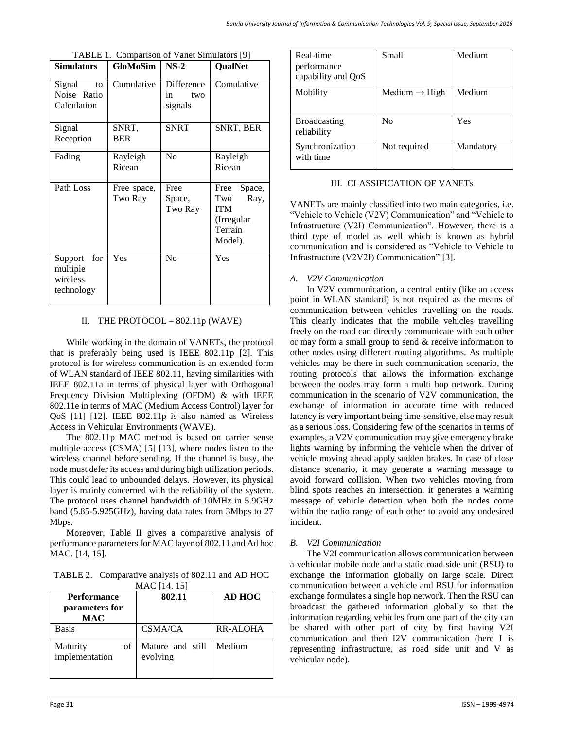| <b>Simulators</b>                                    | <b>GloMoSim</b>        | $NS-2$                             | <b>QualNet</b>                                                                   |
|------------------------------------------------------|------------------------|------------------------------------|----------------------------------------------------------------------------------|
| Signal<br>to<br>Noise Ratio<br>Calculation           | Cumulative             | Difference<br>two<br>1n<br>signals | Comulative                                                                       |
| Signal<br>Reception                                  | SNRT,<br><b>BER</b>    | <b>SNRT</b>                        | SNRT, BER                                                                        |
| Fading                                               | Rayleigh<br>Ricean     | N <sub>0</sub>                     | Rayleigh<br>Ricean                                                               |
| Path Loss                                            | Free space,<br>Two Ray | Free<br>Space,<br>Two Ray          | Space,<br>Free<br>Two<br>Ray,<br><b>ITM</b><br>(Irregular)<br>Terrain<br>Model). |
| for<br>Support<br>multiple<br>wireless<br>technology | Yes                    | N <sub>0</sub>                     | Yes                                                                              |

TABLE 1. Comparison of Vanet Simulators [9]

## II. THE PROTOCOL  $-$  802.11p (WAVE)

While working in the domain of VANETs, the protocol that is preferably being used is IEEE 802.11p [2]. This protocol is for wireless communication is an extended form of WLAN standard of IEEE 802.11, having similarities with IEEE 802.11a in terms of physical layer with Orthogonal Frequency Division Multiplexing (OFDM) & with IEEE 802.11e in terms of MAC (Medium Access Control) layer for QoS [11] [12]. IEEE 802.11p is also named as Wireless Access in Vehicular Environments (WAVE).

The 802.11p MAC method is based on carrier sense multiple access (CSMA) [5] [13], where nodes listen to the wireless channel before sending. If the channel is busy, the node must defer its access and during high utilization periods. This could lead to unbounded delays. However, its physical layer is mainly concerned with the reliability of the system. The protocol uses channel bandwidth of 10MHz in 5.9GHz band (5.85-5.925GHz), having data rates from 3Mbps to 27 Mbps.

Moreover, Table II gives a comparative analysis of performance parameters for MAC layer of 802.11 and Ad hoc MAC. [14, 15].

TABLE 2. Comparative analysis of 802.11 and AD HOC  $MAC$   $[14, 15]$ 

| MAC 114.131                                        |                              |                 |  |  |
|----------------------------------------------------|------------------------------|-----------------|--|--|
| <b>Performance</b><br>parameters for<br><b>MAC</b> | 802.11                       | <b>AD HOC</b>   |  |  |
| <b>Basis</b>                                       | CSMA/CA                      | <b>RR-ALOHA</b> |  |  |
| Maturity<br>of<br>implementation                   | Mature and still<br>evolving | Medium          |  |  |

| Real-time<br>performance<br>capability and QoS | Small                     | Medium    |
|------------------------------------------------|---------------------------|-----------|
| Mobility                                       | Medium $\rightarrow$ High | Medium    |
| <b>Broadcasting</b><br>reliability             | N <sub>0</sub>            | Yes       |
| Synchronization<br>with time                   | Not required              | Mandatory |

# III. CLASSIFICATION OF VANETs

VANETs are mainly classified into two main categories, i.e. "Vehicle to Vehicle (V2V) Communication" and "Vehicle to Infrastructure (V2I) Communication". However, there is a third type of model as well which is known as hybrid communication and is considered as "Vehicle to Vehicle to Infrastructure (V2V2I) Communication" [3].

# *A. V2V Communication*

In V2V communication, a central entity (like an access point in WLAN standard) is not required as the means of communication between vehicles travelling on the roads. This clearly indicates that the mobile vehicles travelling freely on the road can directly communicate with each other or may form a small group to send & receive information to other nodes using different routing algorithms. As multiple vehicles may be there in such communication scenario, the routing protocols that allows the information exchange between the nodes may form a multi hop network. During communication in the scenario of V2V communication, the exchange of information in accurate time with reduced latency is very important being time-sensitive, else may result as a serious loss. Considering few of the scenarios in terms of examples, a V2V communication may give emergency brake lights warning by informing the vehicle when the driver of vehicle moving ahead apply sudden brakes. In case of close distance scenario, it may generate a warning message to avoid forward collision. When two vehicles moving from blind spots reaches an intersection, it generates a warning message of vehicle detection when both the nodes come within the radio range of each other to avoid any undesired incident.

## *B. V2I Communication*

The V2I communication allows communication between a vehicular mobile node and a static road side unit (RSU) to exchange the information globally on large scale. Direct communication between a vehicle and RSU for information exchange formulates a single hop network. Then the RSU can broadcast the gathered information globally so that the information regarding vehicles from one part of the city can be shared with other part of city by first having V2I communication and then I2V communication (here I is representing infrastructure, as road side unit and V as vehicular node).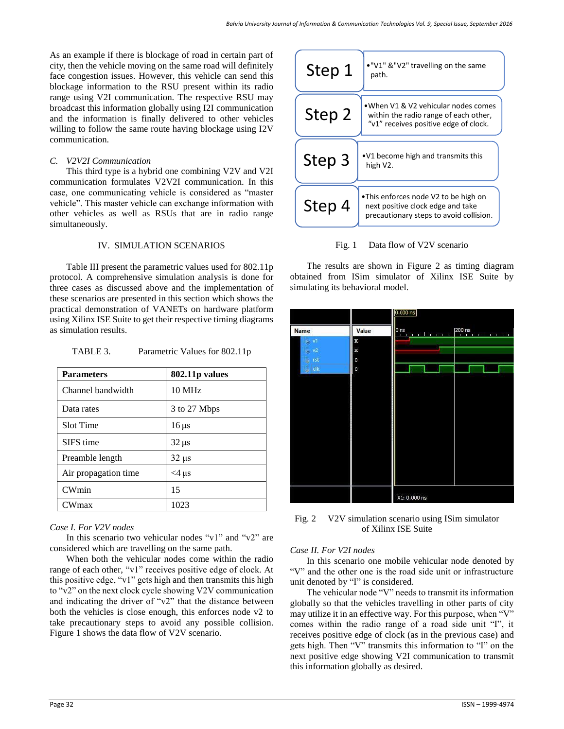As an example if there is blockage of road in certain part of city, then the vehicle moving on the same road will definitely face congestion issues. However, this vehicle can send this blockage information to the RSU present within its radio range using V2I communication. The respective RSU may broadcast this information globally using I2I communication and the information is finally delivered to other vehicles willing to follow the same route having blockage using I2V communication.

#### *C. V2V2I Communication*

This third type is a hybrid one combining V2V and V2I communication formulates V2V2I communication. In this case, one communicating vehicle is considered as "master vehicle". This master vehicle can exchange information with other vehicles as well as RSUs that are in radio range simultaneously.

#### IV. SIMULATION SCENARIOS

Table III present the parametric values used for 802.11p protocol. A comprehensive simulation analysis is done for three cases as discussed above and the implementation of these scenarios are presented in this section which shows the practical demonstration of VANETs on hardware platform using Xilinx ISE Suite to get their respective timing diagrams as simulation results.

| <b>Parameters</b>    | <b>802.11p values</b> |  |
|----------------------|-----------------------|--|
| Channel bandwidth    | $10 \text{ MHz}$      |  |
| Data rates           | 3 to 27 Mbps          |  |
| Slot Time            | $16 \,\mu s$          |  |
| SIFS time            | $32 \,\mu s$          |  |
| Preamble length      | $32 \mu s$            |  |
| Air propagation time | $<$ 4 µs              |  |
| <b>CWmin</b>         | 15                    |  |
| CWmax                | 1023                  |  |

## *Case I. For V2V nodes*

In this scenario two vehicular nodes "v1" and "v2" are considered which are travelling on the same path.

When both the vehicular nodes come within the radio range of each other, "v1" receives positive edge of clock. At this positive edge, "v1" gets high and then transmits this high to "v2" on the next clock cycle showing V2V communication and indicating the driver of "v2" that the distance between both the vehicles is close enough, this enforces node v2 to take precautionary steps to avoid any possible collision. Figure 1 shows the data flow of V2V scenario.

| Step 1 | ."V1" &"V2" travelling on the same<br>path.                                                                           |  |
|--------|-----------------------------------------------------------------------------------------------------------------------|--|
| Step 2 | •When V1 & V2 vehicular nodes comes<br>within the radio range of each other,<br>"v1" receives positive edge of clock. |  |
| Step 3 | •V1 become high and transmits this<br>high V2.                                                                        |  |
| Step 4 | •This enforces node V2 to be high on<br>next positive clock edge and take<br>precautionary steps to avoid collision.  |  |

Fig. 1 Data flow of V2V scenario

The results are shown in Figure 2 as timing diagram obtained from ISim simulator of Xilinx ISE Suite by simulating its behavioral model.



Fig. 2 V2V simulation scenario using ISim simulator of Xilinx ISE Suite

## *Case II. For V2I nodes*

In this scenario one mobile vehicular node denoted by "V" and the other one is the road side unit or infrastructure unit denoted by "I" is considered.

The vehicular node "V" needs to transmit its information globally so that the vehicles travelling in other parts of city may utilize it in an effective way. For this purpose, when "V" comes within the radio range of a road side unit "I", it receives positive edge of clock (as in the previous case) and gets high. Then "V" transmits this information to "I" on the next positive edge showing V2I communication to transmit this information globally as desired.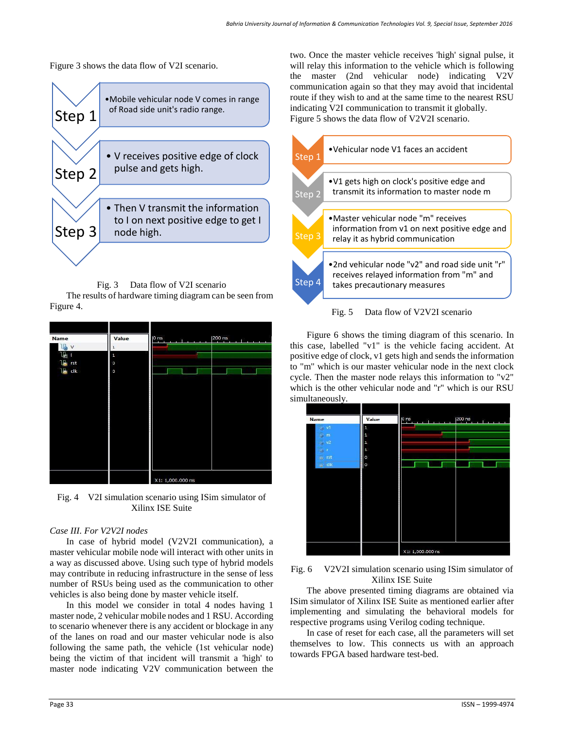Figure 3 shows the data flow of V2I scenario.



Fig. 3 Data flow of V2I scenario

The results of hardware timing diagram can be seen from Figure 4.

| Name      | Value   | $ 200 \text{ ns} $<br>$\mathsf{p}_{\mathsf{ns}}$<br>п<br>- 11<br><b>Contract</b><br>$\mathbf{r}$ |
|-----------|---------|--------------------------------------------------------------------------------------------------|
| V         | 1       |                                                                                                  |
|           | 1       |                                                                                                  |
| rst       | $\circ$ |                                                                                                  |
| L.<br>clk | $\circ$ |                                                                                                  |
|           |         |                                                                                                  |
|           |         | X1: 1,000.000 ns                                                                                 |

Fig. 4 V2I simulation scenario using ISim simulator of Xilinx ISE Suite

#### *Case III. For V2V2I nodes*

In case of hybrid model (V2V2I communication), a master vehicular mobile node will interact with other units in a way as discussed above. Using such type of hybrid models may contribute in reducing infrastructure in the sense of less number of RSUs being used as the communication to other vehicles is also being done by master vehicle itself.

In this model we consider in total 4 nodes having 1 master node, 2 vehicular mobile nodes and 1 RSU. According to scenario whenever there is any accident or blockage in any of the lanes on road and our master vehicular node is also following the same path, the vehicle (1st vehicular node) being the victim of that incident will transmit a 'high' to master node indicating V2V communication between the two. Once the master vehicle receives 'high' signal pulse, it will relay this information to the vehicle which is following the master (2nd vehicular node) indicating V2V communication again so that they may avoid that incidental route if they wish to and at the same time to the nearest RSU indicating V2I communication to transmit it globally. Figure 5 shows the data flow of V2V2I scenario.





Figure 6 shows the timing diagram of this scenario. In this case, labelled "v1" is the vehicle facing accident. At positive edge of clock, v1 gets high and sends the information to "m" which is our master vehicular node in the next clock cycle. Then the master node relays this information to "v2" which is the other vehicular node and "r" which is our RSU simultaneously.



## Fig. 6 V2V2I simulation scenario using ISim simulator of Xilinx ISE Suite

The above presented timing diagrams are obtained via ISim simulator of Xilinx ISE Suite as mentioned earlier after implementing and simulating the behavioral models for respective programs using Verilog coding technique.

In case of reset for each case, all the parameters will set themselves to low. This connects us with an approach towards FPGA based hardware test-bed.